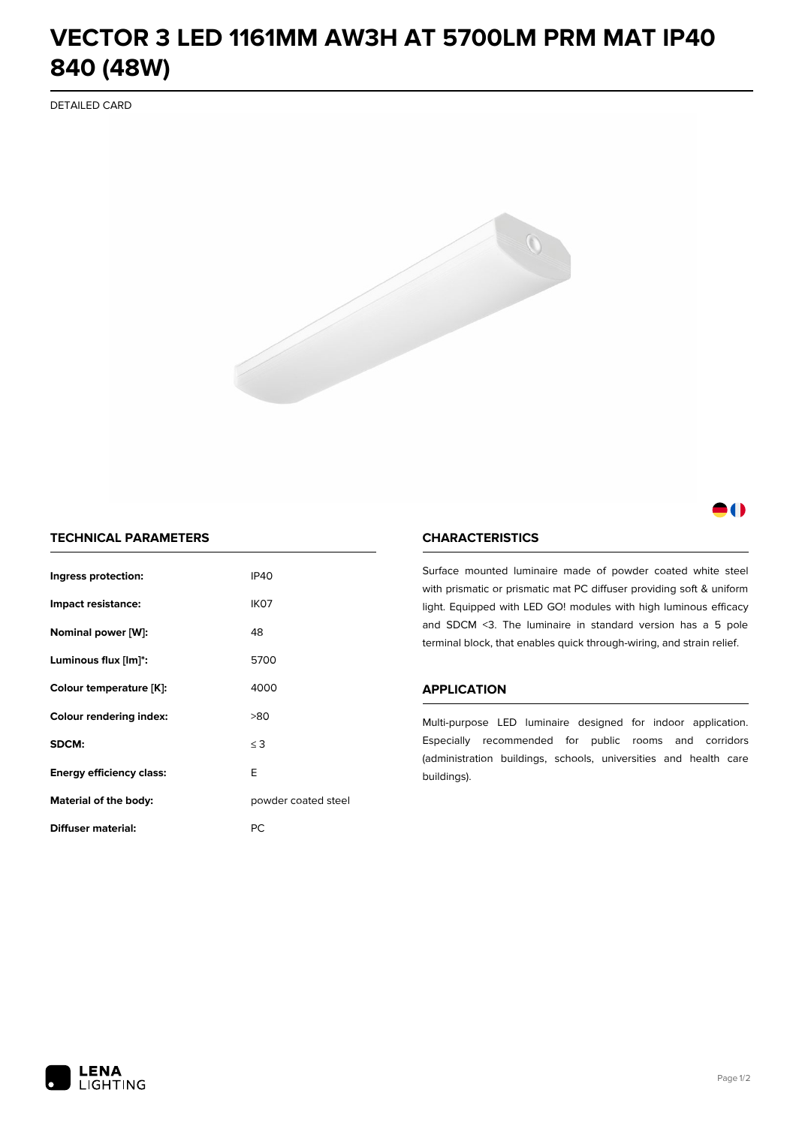# **VECTOR 3 LED 1161MM AW3H AT 5700LM PRM MAT IP40 840 (48W)**

DETAILED CARD



# M

# **TECHNICAL PARAMETERS**

| Ingress protection:                  | <b>IP40</b>         |  |
|--------------------------------------|---------------------|--|
| Impact resistance:                   | IK <sub>07</sub>    |  |
| Nominal power [W]:                   | 48                  |  |
| Luminous flux [lm]*:                 | 5700                |  |
| Colour temperature [K]:              | 4000                |  |
| <b>Colour rendering index:</b>       | >80                 |  |
| SDCM:                                | $\leq$ 3            |  |
| E<br><b>Energy efficiency class:</b> |                     |  |
| Material of the body:                | powder coated steel |  |
| <b>Diffuser material:</b>            | РC                  |  |

### **CHARACTERISTICS**

Surface mounted luminaire made of powder coated white steel with prismatic or prismatic mat PC diffuser providing soft & uniform light. Equipped with LED GO! modules with high luminous efficacy and SDCM <3. The luminaire in standard version has a 5 pole terminal block, that enables quick through-wiring, and strain relief.

#### **APPLICATION**

Multi-purpose LED luminaire designed for indoor application. Especially recommended for public rooms and corridors (administration buildings, schools, universities and health care buildings).